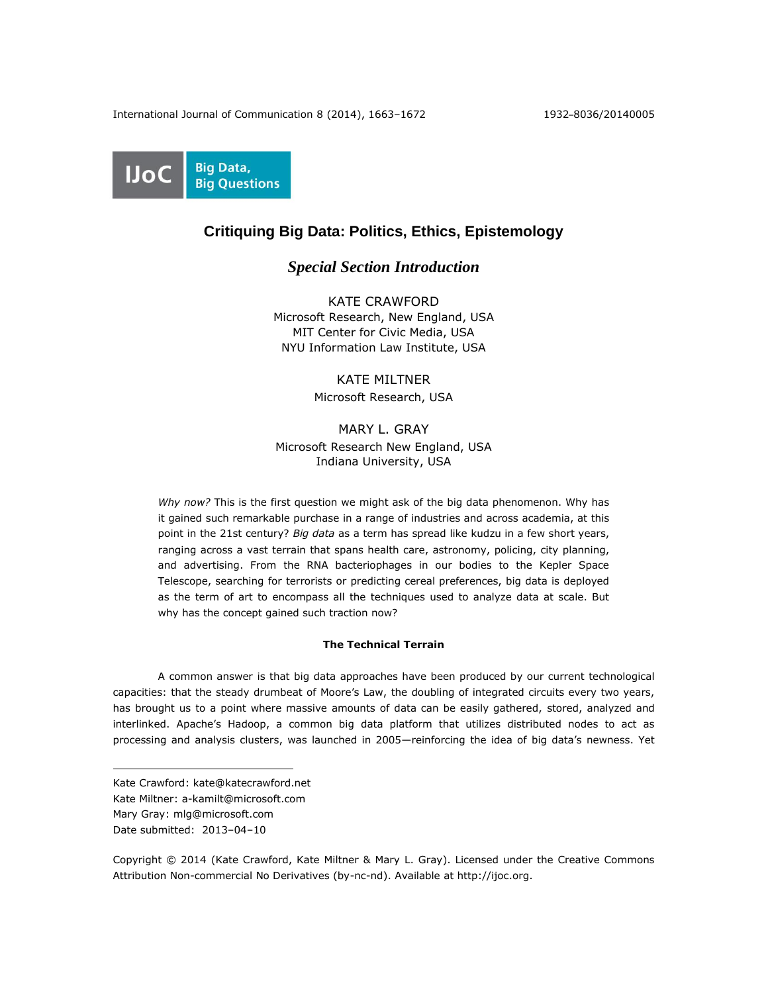

# **Critiquing Big Data: Politics, Ethics, Epistemology**

## *Special Section Introduction*

KATE CRAWFORD Microsoft Research, New England, USA MIT Center for Civic Media, USA NYU Information Law Institute, USA

> KATE MILTNER Microsoft Research, USA

MARY L. GRAY Microsoft Research New England, USA Indiana University, USA

*Why now?* This is the first question we might ask of the big data phenomenon. Why has it gained such remarkable purchase in a range of industries and across academia, at this point in the 21st century? *Big data* as a term has spread like kudzu in a few short years, ranging across a vast terrain that spans health care, astronomy, policing, city planning, and advertising. From the RNA bacteriophages in our bodies to the Kepler Space Telescope, searching for terrorists or predicting cereal preferences, big data is deployed as the term of art to encompass all the techniques used to analyze data at scale. But why has the concept gained such traction now?

## **The Technical Terrain**

A common answer is that big data approaches have been produced by our current technological capacities: that the steady drumbeat of Moore's Law, the doubling of integrated circuits every two years, has brought us to a point where massive amounts of data can be easily gathered, stored, analyzed and interlinked. Apache's Hadoop, a common big data platform that utilizes distributed nodes to act as processing and analysis clusters, was launched in 2005—reinforcing the idea of big data's newness. Yet

 $\overline{a}$ 

Copyright © 2014 (Kate Crawford, Kate Miltner & Mary L. Gray). Licensed under the Creative Commons Attribution Non-commercial No Derivatives (by-nc-nd). Available at http://ijoc.org.

Kate Crawford: kate@katecrawford.net

Kate Miltner: [a-kamilt@microsoft.com](mailto:a-kamilt@microsoft.com)

Mary Gray: mlg@microsoft.com

Date submitted: 2013–04–10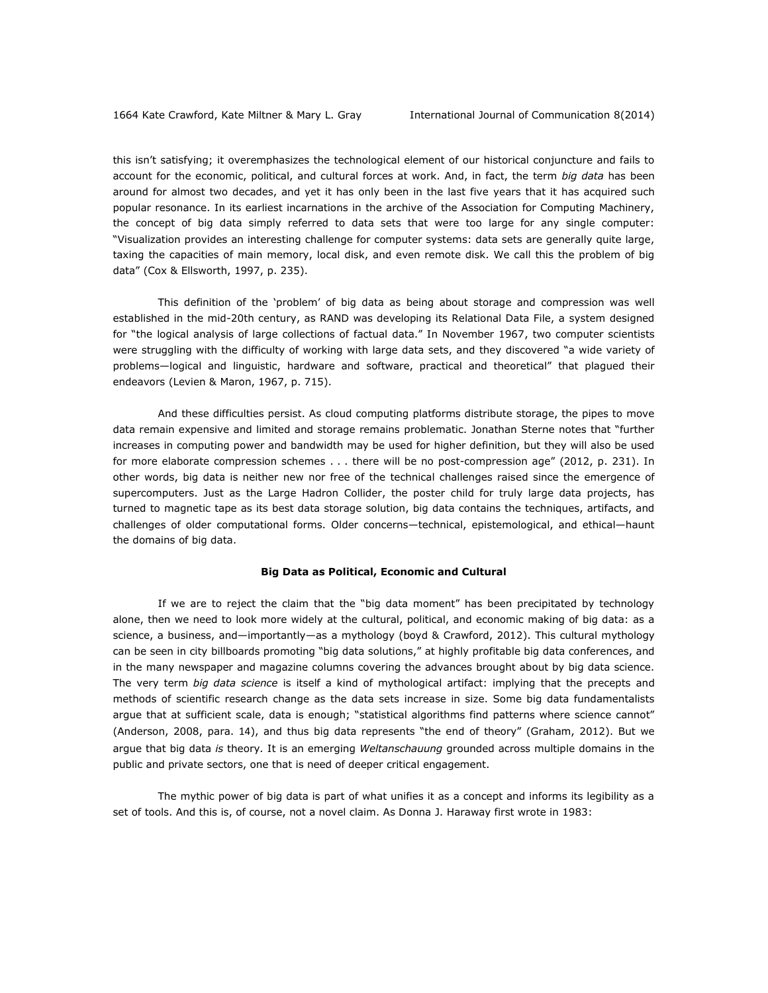this isn't satisfying; it overemphasizes the technological element of our historical conjuncture and fails to account for the economic, political, and cultural forces at work. And, in fact, the term *big data* has been around for almost two decades, and yet it has only been in the last five years that it has acquired such popular resonance. In its earliest incarnations in the archive of the Association for Computing Machinery, the concept of big data simply referred to data sets that were too large for any single computer: "Visualization provides an interesting challenge for computer systems: data sets are generally quite large, taxing the capacities of main memory, local disk, and even remote disk. We call this the problem of big data" (Cox & Ellsworth, 1997, p. 235).

This definition of the 'problem' of big data as being about storage and compression was well established in the mid-20th century, as RAND was developing its Relational Data File, a system designed for "the logical analysis of large collections of factual data." In November 1967, two computer scientists were struggling with the difficulty of working with large data sets, and they discovered "a wide variety of problems—logical and linguistic, hardware and software, practical and theoretical" that plagued their endeavors (Levien & Maron, 1967, p. 715).

And these difficulties persist. As cloud computing platforms distribute storage, the pipes to move data remain expensive and limited and storage remains problematic. Jonathan Sterne notes that "further increases in computing power and bandwidth may be used for higher definition, but they will also be used for more elaborate compression schemes . . . there will be no post-compression age" (2012, p. 231). In other words, big data is neither new nor free of the technical challenges raised since the emergence of supercomputers. Just as the Large Hadron Collider, the poster child for truly large data projects, has turned to magnetic tape as its best data storage solution, big data contains the techniques, artifacts, and challenges of older computational forms. Older concerns—technical, epistemological, and ethical—haunt the domains of big data.

#### **Big Data as Political, Economic and Cultural**

If we are to reject the claim that the "big data moment" has been precipitated by technology alone, then we need to look more widely at the cultural, political, and economic making of big data: as a science, a business, and—importantly—as a mythology (boyd & Crawford, 2012). This cultural mythology can be seen in city billboards promoting "big data solutions," at highly profitable big data conferences, and in the many newspaper and magazine columns covering the advances brought about by big data science. The very term *big data science* is itself a kind of mythological artifact: implying that the precepts and methods of scientific research change as the data sets increase in size. Some big data fundamentalists argue that at sufficient scale, data is enough; "statistical algorithms find patterns where science cannot" (Anderson, 2008, para. 14), and thus big data represents "the end of theory" (Graham, 2012). But we argue that big data *is* theory*.* It is an emerging *Weltanschauung* grounded across multiple domains in the public and private sectors, one that is need of deeper critical engagement.

The mythic power of big data is part of what unifies it as a concept and informs its legibility as a set of tools. And this is, of course, not a novel claim. As Donna J. Haraway first wrote in 1983: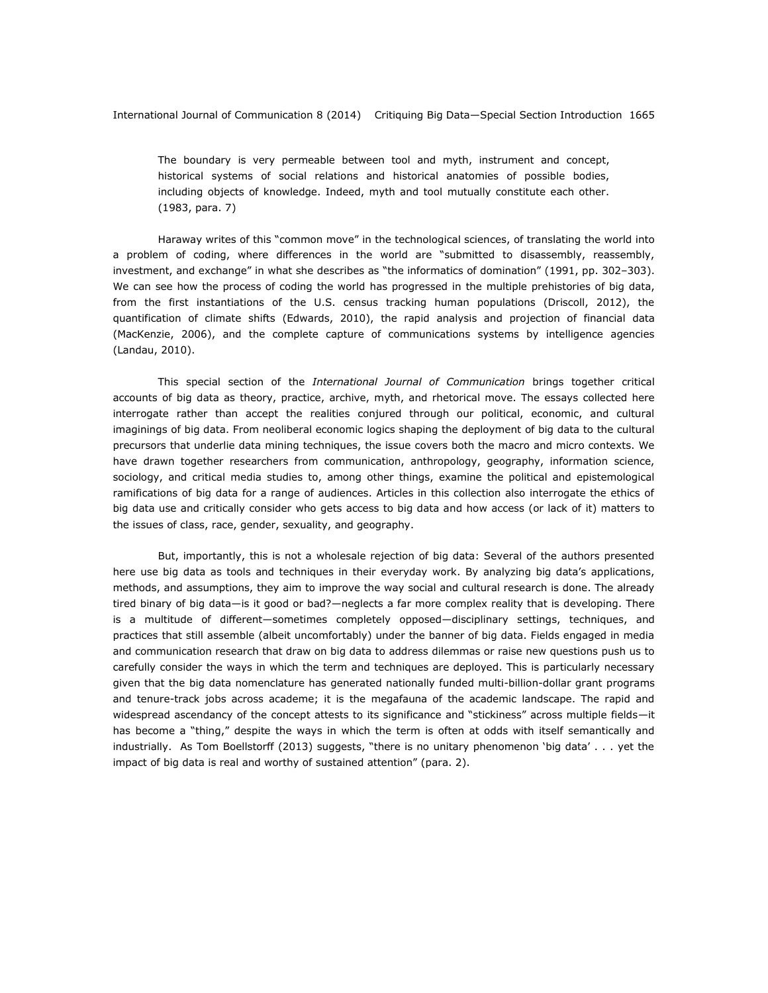The boundary is very permeable between tool and myth, instrument and concept, historical systems of social relations and historical anatomies of possible bodies, including objects of knowledge. Indeed, myth and tool mutually constitute each other. (1983, para. 7)

Haraway writes of this "common move" in the technological sciences, of translating the world into a problem of coding, where differences in the world are "submitted to disassembly, reassembly, investment, and exchange" in what she describes as "the informatics of domination" (1991, pp. 302–303). We can see how the process of coding the world has progressed in the multiple prehistories of big data, from the first instantiations of the U.S. census tracking human populations (Driscoll, 2012), the quantification of climate shifts (Edwards, 2010), the rapid analysis and projection of financial data (MacKenzie, 2006), and the complete capture of communications systems by intelligence agencies (Landau, 2010).

This special section of the *International Journal of Communication* brings together critical accounts of big data as theory, practice, archive, myth, and rhetorical move. The essays collected here interrogate rather than accept the realities conjured through our political, economic, and cultural imaginings of big data. From neoliberal economic logics shaping the deployment of big data to the cultural precursors that underlie data mining techniques, the issue covers both the macro and micro contexts. We have drawn together researchers from communication, anthropology, geography, information science, sociology, and critical media studies to, among other things, examine the political and epistemological ramifications of big data for a range of audiences. Articles in this collection also interrogate the ethics of big data use and critically consider who gets access to big data and how access (or lack of it) matters to the issues of class, race, gender, sexuality, and geography.

But, importantly, this is not a wholesale rejection of big data: Several of the authors presented here use big data as tools and techniques in their everyday work. By analyzing big data's applications, methods, and assumptions, they aim to improve the way social and cultural research is done. The already tired binary of big data—is it good or bad?—neglects a far more complex reality that is developing. There is a multitude of different—sometimes completely opposed—disciplinary settings, techniques, and practices that still assemble (albeit uncomfortably) under the banner of big data. Fields engaged in media and communication research that draw on big data to address dilemmas or raise new questions push us to carefully consider the ways in which the term and techniques are deployed. This is particularly necessary given that the big data nomenclature has generated nationally funded multi-billion-dollar grant programs and tenure-track jobs across academe; it is the megafauna of the academic landscape. The rapid and widespread ascendancy of the concept attests to its significance and "stickiness" across multiple fields—it has become a "thing," despite the ways in which the term is often at odds with itself semantically and industrially. As Tom Boellstorff (2013) suggests, "there is no unitary phenomenon 'big data' . . . yet the impact of big data is real and worthy of sustained attention" (para. 2).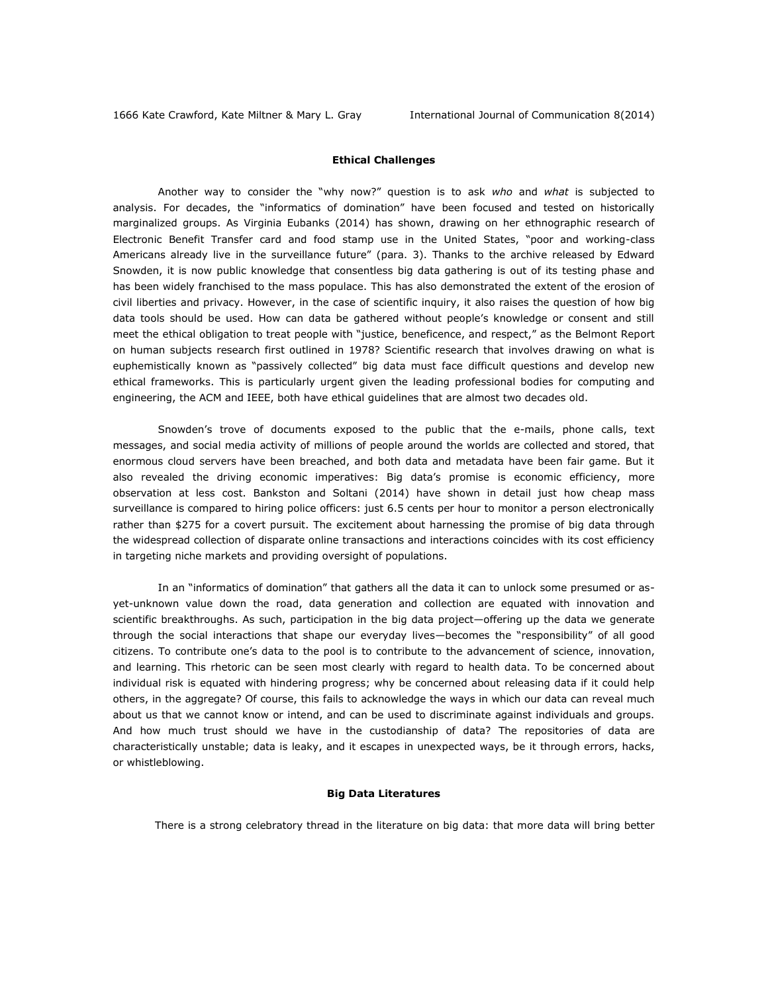## **Ethical Challenges**

Another way to consider the "why now?" question is to ask *who* and *what* is subjected to analysis. For decades, the "informatics of domination" have been focused and tested on historically marginalized groups. As Virginia Eubanks (2014) has shown, drawing on her ethnographic research of Electronic Benefit Transfer card and food stamp use in the United States, "poor and working-class Americans already live in the surveillance future" (para. 3). Thanks to the archive released by Edward Snowden, it is now public knowledge that consentless big data gathering is out of its testing phase and has been widely franchised to the mass populace. This has also demonstrated the extent of the erosion of civil liberties and privacy. However, in the case of scientific inquiry, it also raises the question of how big data tools should be used. How can data be gathered without people's knowledge or consent and still meet the ethical obligation to treat people with "justice, beneficence, and respect," as the Belmont Report on human subjects research first outlined in 1978? Scientific research that involves drawing on what is euphemistically known as "passively collected" big data must face difficult questions and develop new ethical frameworks. This is particularly urgent given the leading professional bodies for computing and engineering, the ACM and IEEE, both have ethical guidelines that are almost two decades old.

Snowden's trove of documents exposed to the public that the e-mails, phone calls, text messages, and social media activity of millions of people around the worlds are collected and stored, that enormous cloud servers have been breached, and both data and metadata have been fair game. But it also revealed the driving economic imperatives: Big data's promise is economic efficiency, more observation at less cost. Bankston and Soltani (2014) have shown in detail just how cheap mass surveillance is compared to hiring police officers: just 6.5 cents per hour to monitor a person electronically rather than \$275 for a covert pursuit. The excitement about harnessing the promise of big data through the widespread collection of disparate online transactions and interactions coincides with its cost efficiency in targeting niche markets and providing oversight of populations.

In an "informatics of domination" that gathers all the data it can to unlock some presumed or asyet-unknown value down the road, data generation and collection are equated with innovation and scientific breakthroughs. As such, participation in the big data project—offering up the data we generate through the social interactions that shape our everyday lives—becomes the "responsibility" of all good citizens. To contribute one's data to the pool is to contribute to the advancement of science, innovation, and learning. This rhetoric can be seen most clearly with regard to health data. To be concerned about individual risk is equated with hindering progress; why be concerned about releasing data if it could help others, in the aggregate? Of course, this fails to acknowledge the ways in which our data can reveal much about us that we cannot know or intend, and can be used to discriminate against individuals and groups. And how much trust should we have in the custodianship of data? The repositories of data are characteristically unstable; data is leaky, and it escapes in unexpected ways, be it through errors, hacks, or whistleblowing.

#### **Big Data Literatures**

There is a strong celebratory thread in the literature on big data: that more data will bring better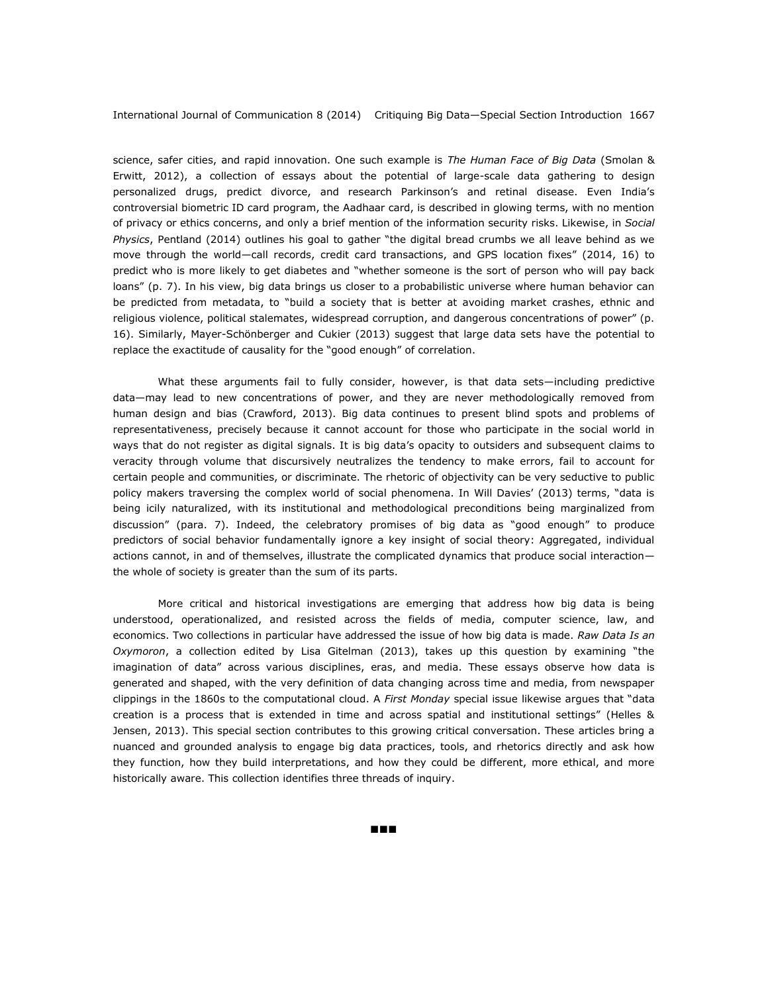science, safer cities, and rapid innovation. One such example is *The Human Face of Big Data* (Smolan & Erwitt, 2012), a collection of essays about the potential of large-scale data gathering to design personalized drugs, predict divorce, and research Parkinson's and retinal disease. Even India's controversial biometric ID card program, the Aadhaar card, is described in glowing terms, with no mention of privacy or ethics concerns, and only a brief mention of the information security risks. Likewise, in *Social Physics*, Pentland (2014) outlines his goal to gather "the digital bread crumbs we all leave behind as we move through the world—call records, credit card transactions, and GPS location fixes" (2014, 16) to predict who is more likely to get diabetes and "whether someone is the sort of person who will pay back loans" (p. 7). In his view, big data brings us closer to a probabilistic universe where human behavior can be predicted from metadata, to "build a society that is better at avoiding market crashes, ethnic and religious violence, political stalemates, widespread corruption, and dangerous concentrations of power" (p. 16). Similarly, Mayer-Schönberger and Cukier (2013) suggest that large data sets have the potential to replace the exactitude of causality for the "good enough" of correlation.

What these arguments fail to fully consider, however, is that data sets—including predictive data—may lead to new concentrations of power, and they are never methodologically removed from human design and bias (Crawford, 2013). Big data continues to present blind spots and problems of representativeness, precisely because it cannot account for those who participate in the social world in ways that do not register as digital signals. It is big data's opacity to outsiders and subsequent claims to veracity through volume that discursively neutralizes the tendency to make errors, fail to account for certain people and communities, or discriminate. The rhetoric of objectivity can be very seductive to public policy makers traversing the complex world of social phenomena. In Will Davies' (2013) terms, "data is being icily naturalized, with its institutional and methodological preconditions being marginalized from discussion" (para. 7). Indeed, the celebratory promises of big data as "good enough" to produce predictors of social behavior fundamentally ignore a key insight of social theory: Aggregated, individual actions cannot, in and of themselves, illustrate the complicated dynamics that produce social interaction the whole of society is greater than the sum of its parts.

More critical and historical investigations are emerging that address how big data is being understood, operationalized, and resisted across the fields of media, computer science, law, and economics. Two collections in particular have addressed the issue of how big data is made. *Raw Data Is an Oxymoron*, a collection edited by Lisa Gitelman (2013), takes up this question by examining "the imagination of data" across various disciplines, eras, and media. These essays observe how data is generated and shaped, with the very definition of data changing across time and media, from newspaper clippings in the 1860s to the computational cloud. A *First Monday* special issue likewise argues that "data creation is a process that is extended in time and across spatial and institutional settings" (Helles & Jensen, 2013). This special section contributes to this growing critical conversation. These articles bring a nuanced and grounded analysis to engage big data practices, tools, and rhetorics directly and ask how they function, how they build interpretations, and how they could be different, more ethical, and more historically aware. This collection identifies three threads of inquiry.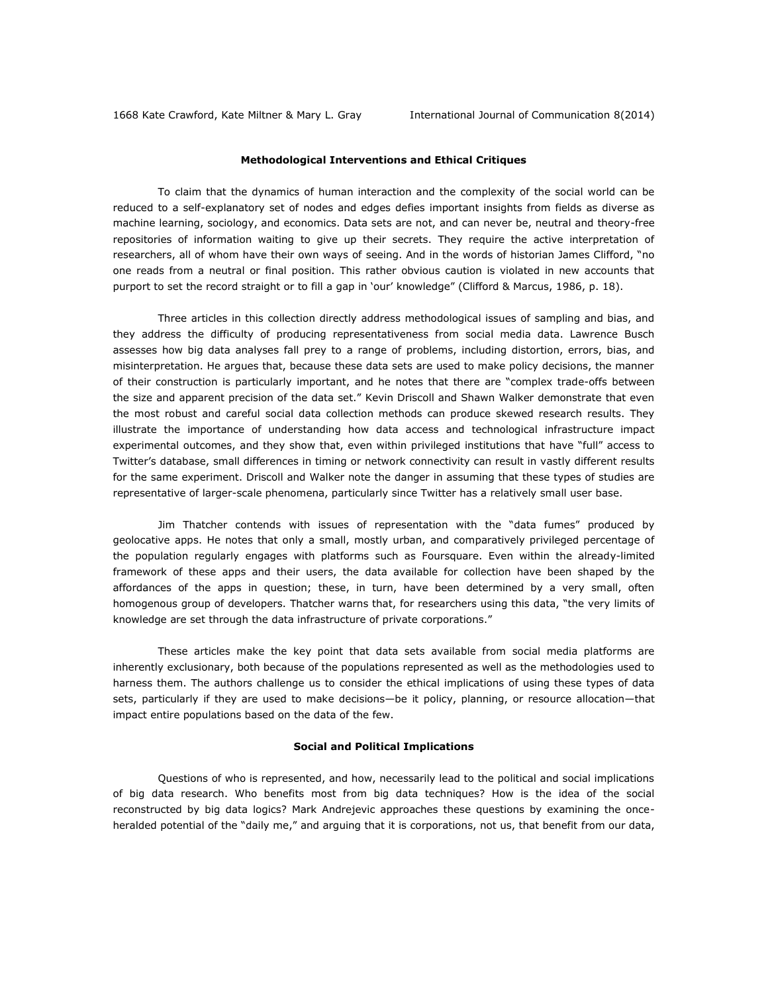## **Methodological Interventions and Ethical Critiques**

To claim that the dynamics of human interaction and the complexity of the social world can be reduced to a self-explanatory set of nodes and edges defies important insights from fields as diverse as machine learning, sociology, and economics. Data sets are not, and can never be, neutral and theory-free repositories of information waiting to give up their secrets. They require the active interpretation of researchers, all of whom have their own ways of seeing. And in the words of historian James Clifford, "no one reads from a neutral or final position. This rather obvious caution is violated in new accounts that purport to set the record straight or to fill a gap in 'our' knowledge" (Clifford & Marcus, 1986, p. 18).

Three articles in this collection directly address methodological issues of sampling and bias, and they address the difficulty of producing representativeness from social media data. Lawrence Busch assesses how big data analyses fall prey to a range of problems, including distortion, errors, bias, and misinterpretation. He argues that, because these data sets are used to make policy decisions, the manner of their construction is particularly important, and he notes that there are "complex trade-offs between the size and apparent precision of the data set." Kevin Driscoll and Shawn Walker demonstrate that even the most robust and careful social data collection methods can produce skewed research results. They illustrate the importance of understanding how data access and technological infrastructure impact experimental outcomes, and they show that, even within privileged institutions that have "full" access to Twitter's database, small differences in timing or network connectivity can result in vastly different results for the same experiment. Driscoll and Walker note the danger in assuming that these types of studies are representative of larger-scale phenomena, particularly since Twitter has a relatively small user base.

Jim Thatcher contends with issues of representation with the "data fumes" produced by geolocative apps. He notes that only a small, mostly urban, and comparatively privileged percentage of the population regularly engages with platforms such as Foursquare. Even within the already-limited framework of these apps and their users, the data available for collection have been shaped by the affordances of the apps in question; these, in turn, have been determined by a very small, often homogenous group of developers. Thatcher warns that, for researchers using this data, "the very limits of knowledge are set through the data infrastructure of private corporations."

These articles make the key point that data sets available from social media platforms are inherently exclusionary, both because of the populations represented as well as the methodologies used to harness them. The authors challenge us to consider the ethical implications of using these types of data sets, particularly if they are used to make decisions—be it policy, planning, or resource allocation—that impact entire populations based on the data of the few.

#### **Social and Political Implications**

Questions of who is represented, and how, necessarily lead to the political and social implications of big data research. Who benefits most from big data techniques? How is the idea of the social reconstructed by big data logics? Mark Andrejevic approaches these questions by examining the onceheralded potential of the "daily me," and arguing that it is corporations, not us, that benefit from our data,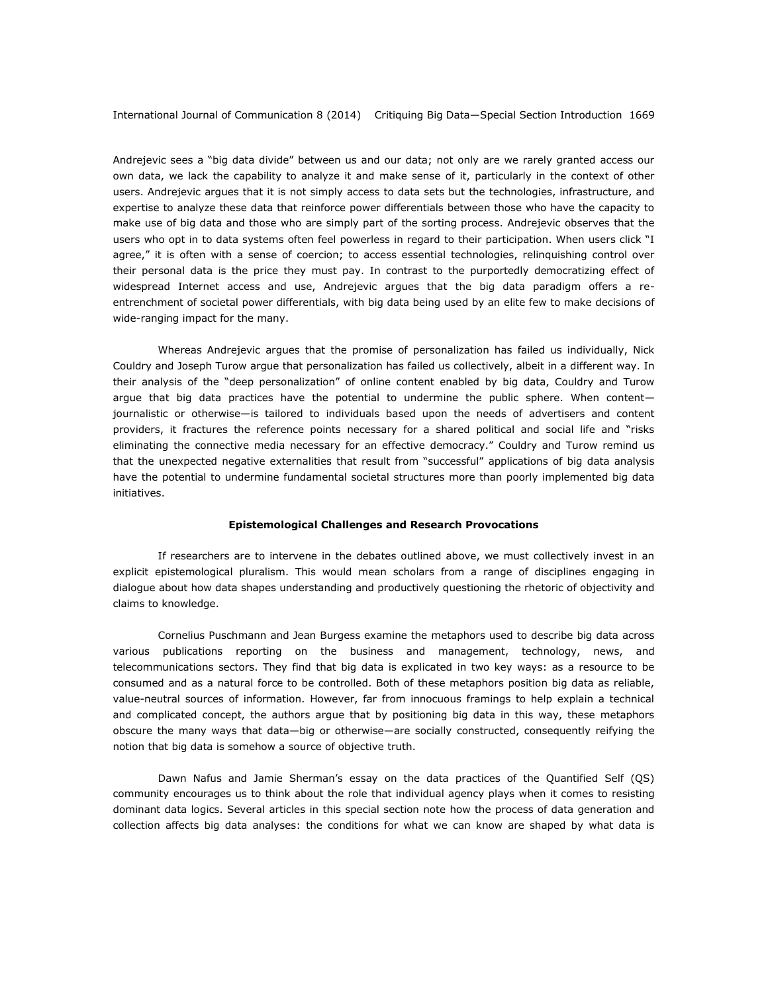Andrejevic sees a "big data divide" between us and our data; not only are we rarely granted access our own data, we lack the capability to analyze it and make sense of it, particularly in the context of other users. Andrejevic argues that it is not simply access to data sets but the technologies, infrastructure, and expertise to analyze these data that reinforce power differentials between those who have the capacity to make use of big data and those who are simply part of the sorting process. Andrejevic observes that the users who opt in to data systems often feel powerless in regard to their participation. When users click "I agree," it is often with a sense of coercion; to access essential technologies, relinquishing control over their personal data is the price they must pay. In contrast to the purportedly democratizing effect of widespread Internet access and use, Andrejevic argues that the big data paradigm offers a reentrenchment of societal power differentials, with big data being used by an elite few to make decisions of wide-ranging impact for the many.

Whereas Andrejevic argues that the promise of personalization has failed us individually, Nick Couldry and Joseph Turow argue that personalization has failed us collectively, albeit in a different way. In their analysis of the "deep personalization" of online content enabled by big data, Couldry and Turow argue that big data practices have the potential to undermine the public sphere. When content journalistic or otherwise—is tailored to individuals based upon the needs of advertisers and content providers, it fractures the reference points necessary for a shared political and social life and "risks eliminating the connective media necessary for an effective democracy." Couldry and Turow remind us that the unexpected negative externalities that result from "successful" applications of big data analysis have the potential to undermine fundamental societal structures more than poorly implemented big data initiatives.

#### **Epistemological Challenges and Research Provocations**

If researchers are to intervene in the debates outlined above, we must collectively invest in an explicit epistemological pluralism. This would mean scholars from a range of disciplines engaging in dialogue about how data shapes understanding and productively questioning the rhetoric of objectivity and claims to knowledge.

Cornelius Puschmann and Jean Burgess examine the metaphors used to describe big data across various publications reporting on the business and management, technology, news, and telecommunications sectors. They find that big data is explicated in two key ways: as a resource to be consumed and as a natural force to be controlled. Both of these metaphors position big data as reliable, value-neutral sources of information. However, far from innocuous framings to help explain a technical and complicated concept, the authors argue that by positioning big data in this way, these metaphors obscure the many ways that data—big or otherwise—are socially constructed, consequently reifying the notion that big data is somehow a source of objective truth.

Dawn Nafus and Jamie Sherman's essay on the data practices of the Quantified Self (QS) community encourages us to think about the role that individual agency plays when it comes to resisting dominant data logics. Several articles in this special section note how the process of data generation and collection affects big data analyses: the conditions for what we can know are shaped by what data is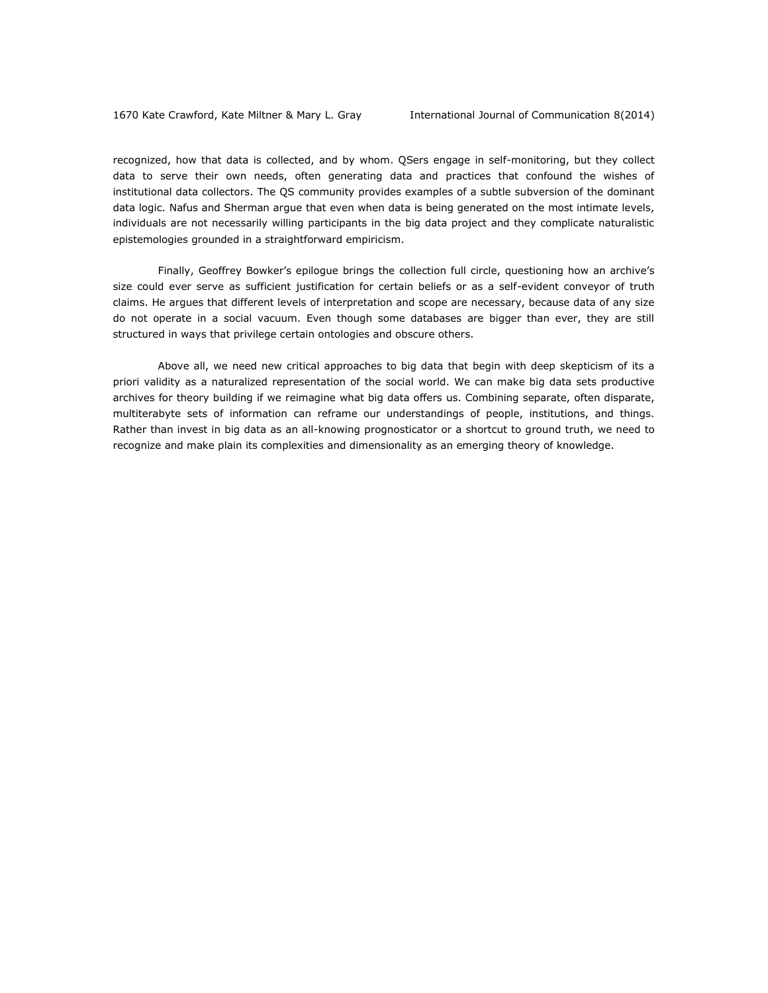recognized, how that data is collected, and by whom. QSers engage in self-monitoring, but they collect data to serve their own needs, often generating data and practices that confound the wishes of institutional data collectors. The QS community provides examples of a subtle subversion of the dominant data logic. Nafus and Sherman argue that even when data is being generated on the most intimate levels, individuals are not necessarily willing participants in the big data project and they complicate naturalistic epistemologies grounded in a straightforward empiricism.

Finally, Geoffrey Bowker's epilogue brings the collection full circle, questioning how an archive's size could ever serve as sufficient justification for certain beliefs or as a self-evident conveyor of truth claims. He argues that different levels of interpretation and scope are necessary, because data of any size do not operate in a social vacuum. Even though some databases are bigger than ever, they are still structured in ways that privilege certain ontologies and obscure others.

Above all, we need new critical approaches to big data that begin with deep skepticism of its a priori validity as a naturalized representation of the social world. We can make big data sets productive archives for theory building if we reimagine what big data offers us. Combining separate, often disparate, multiterabyte sets of information can reframe our understandings of people, institutions, and things. Rather than invest in big data as an all-knowing prognosticator or a shortcut to ground truth, we need to recognize and make plain its complexities and dimensionality as an emerging theory of knowledge.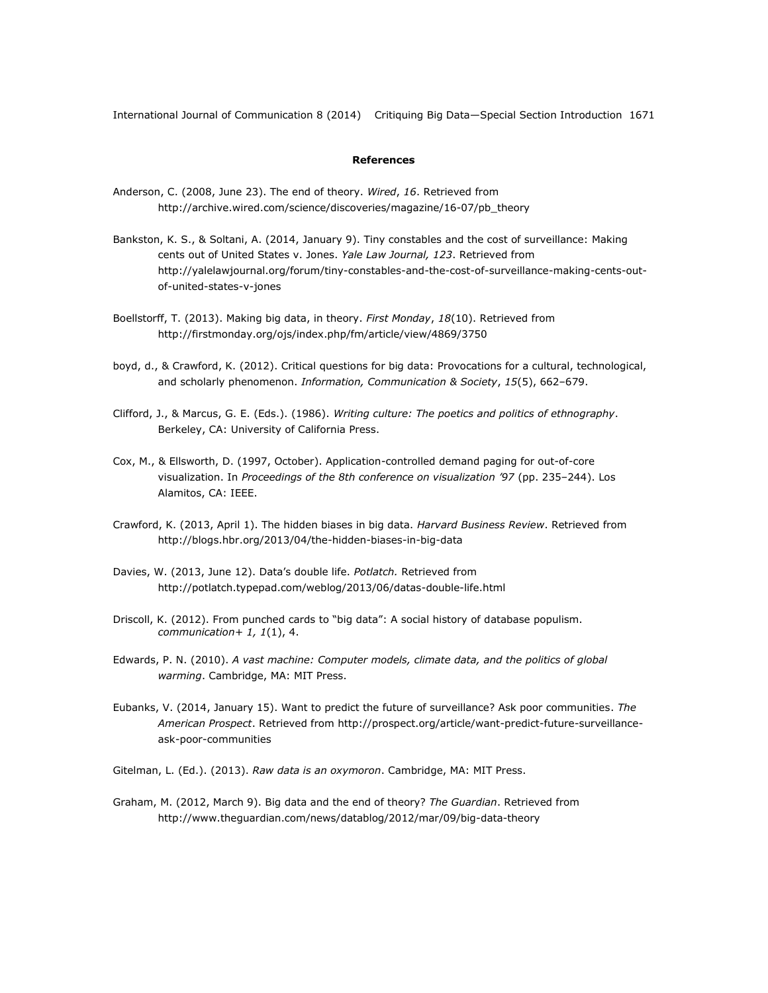## **References**

- Anderson, C. (2008, June 23). The end of theory. *Wired*, *16*. Retrieved from http://archive.wired.com/science/discoveries/magazine/16-07/pb\_theory
- Bankston, K. S., & Soltani, A. (2014, January 9). Tiny constables and the cost of surveillance: Making cents out of United States v. Jones. *Yale Law Journal, 123*. Retrieved from http://yalelawjournal.org/forum/tiny-constables-and-the-cost-of-surveillance-making-cents-outof-united-states-v-jones
- Boellstorff, T. (2013). Making big data, in theory. *First Monday*, *18*(10). Retrieved from http://firstmonday.org/ojs/index.php/fm/article/view/4869/3750
- boyd, d., & Crawford, K. (2012). Critical questions for big data: Provocations for a cultural, technological, and scholarly phenomenon. *Information, Communication & Society*, *15*(5), 662–679.
- Clifford, J., & Marcus, G. E. (Eds.). (1986). *Writing culture: The poetics and politics of ethnography*. Berkeley, CA: University of California Press.
- Cox, M., & Ellsworth, D. (1997, October). Application-controlled demand paging for out-of-core visualization. In *Proceedings of the 8th conference on visualization '97* (pp. 235–244). Los Alamitos, CA: IEEE.
- Crawford, K. (2013, April 1). The hidden biases in big data. *Harvard Business Review*. Retrieved from <http://blogs.hbr.org/2013/04/the-hidden-biases-in-big-data>
- Davies, W. (2013, June 12). Data's double life. *Potlatch.* Retrieved from http://potlatch.typepad.com/weblog/2013/06/datas-double-life.html
- Driscoll, K. (2012). From punched cards to "big data": A social history of database populism. *communication+ 1, 1*(1), 4.
- Edwards, P. N. (2010). *A vast machine: Computer models, climate data, and the politics of global warming*. Cambridge, MA: MIT Press.
- Eubanks, V. (2014, January 15). Want to predict the future of surveillance? Ask poor communities. *The American Prospect*. Retrieved from http://prospect.org/article/want-predict-future-surveillanceask-poor-communities
- Gitelman, L. (Ed.). (2013). *Raw data is an oxymoron*. Cambridge, MA: MIT Press.
- Graham, M. (2012, March 9). Big data and the end of theory? *The Guardian*. Retrieved from http://www.theguardian.com/news/datablog/2012/mar/09/big-data-theory